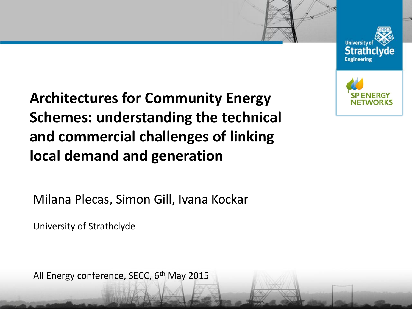



**Architectures for Community Energy Schemes: understanding the technical and commercial challenges of linking local demand and generation**

Milana Plecas, Simon Gill, Ivana Kockar

University of Strathclyde

All Energy conference, SECC,  $6<sup>th</sup>$  May 2015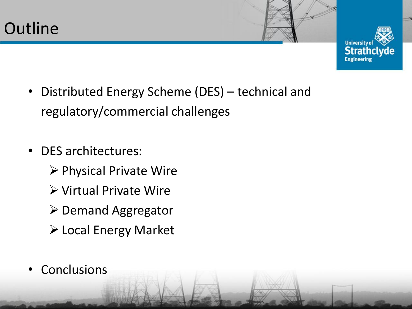

- Distributed Energy Scheme (DES) technical and regulatory/commercial challenges
- DES architectures:
	- $\triangleright$  Physical Private Wire
	- Virtual Private Wire
	- $\triangleright$  Demand Aggregator
	- Local Energy Market
- **Conclusions**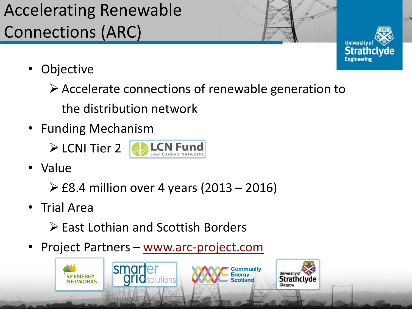## Accelerating Renewable Connections (ARC)



- Objective
	- $\triangleright$  Accelerate connections of renewable generation to

the distribution network

• Funding Mechanism

> LCNI Tier 2 **Development PLCN** Fund



• Value

 $\geq$  £8.4 million over 4 years (2013 – 2016)

- Trial Area
	- East Lothian and Scottish Borders
- Project Partners [www.arc-project.com](http://www.arc-project.com/)

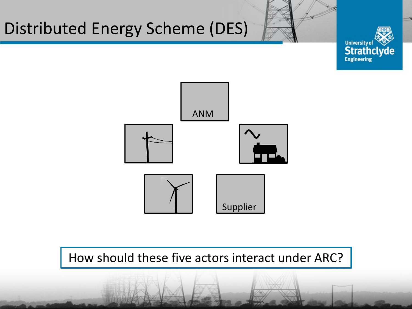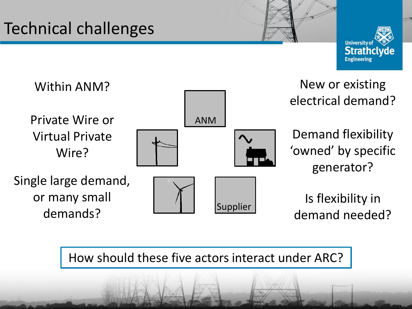## Technical challenges





How should these five actors interact under ARC?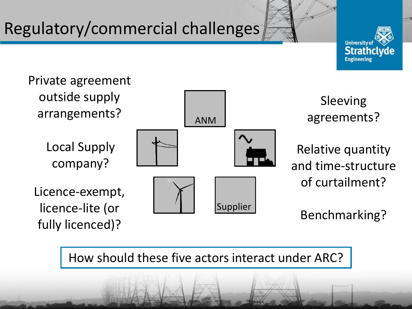## Regulatory/commercial challenges





Sleeving agreements?

Relative quantity and time-structure of curtailment?

Benchmarking?

How should these five actors interact under ARC?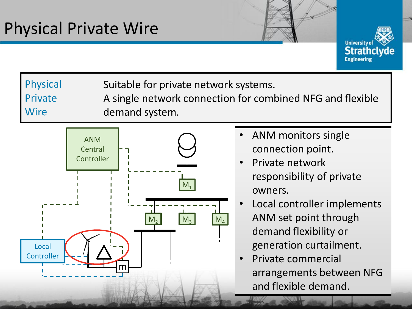Physical

Private

Wire



Suitable for private network systems.

A single network connection for combined NFG and flexible demand system.



- ANM monitors single connection point.
- Private network responsibility of private owners.
- Local controller implements ANM set point through demand flexibility or generation curtailment.
- Private commercial arrangements between NFG and flexible demand.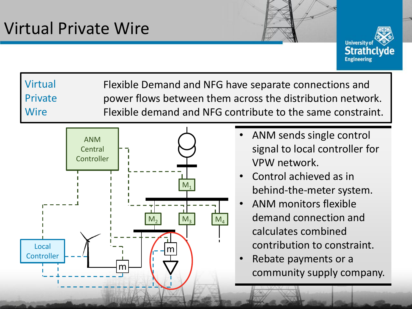

Virtual Private Wire Flexible Demand and NFG have separate connections and power flows between them across the distribution network. Flexible demand and NFG contribute to the same constraint.



- ANM sends single control signal to local controller for VPW network.
- Control achieved as in behind-the-meter system.
- ANM monitors flexible demand connection and calculates combined contribution to constraint.
- Rebate payments or a community supply company.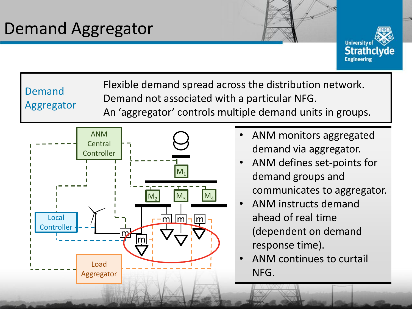

Demand Aggregator

Flexible demand spread across the distribution network. Demand not associated with a particular NFG. An 'aggregator' controls multiple demand units in groups.



- ANM monitors aggregated demand via aggregator.
- ANM defines set-points for demand groups and communicates to aggregator.
- ANM instructs demand ahead of real time (dependent on demand response time).
- ANM continues to curtail NFG.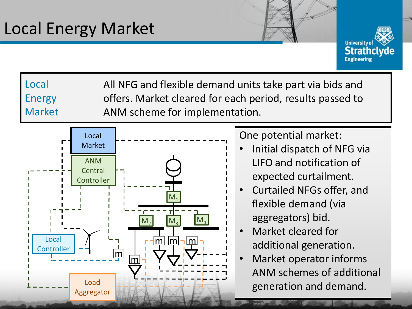

Local Energy Market All NFG and flexible demand units take part via bids and offers. Market cleared for each period, results passed to ANM scheme for implementation.



One potential market:

- Initial dispatch of NFG via LIFO and notification of expected curtailment.
- Curtailed NFGs offer, and flexible demand (via aggregators) bid.
- Market cleared for additional generation.
- Market operator informs ANM schemes of additional generation and demand.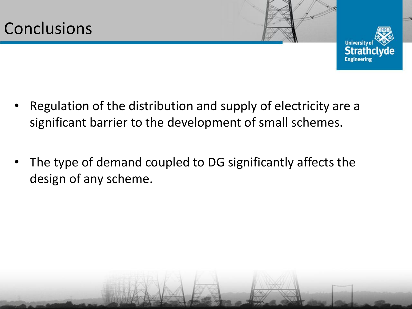

- Regulation of the distribution and supply of electricity are a significant barrier to the development of small schemes.
- The type of demand coupled to DG significantly affects the design of any scheme.